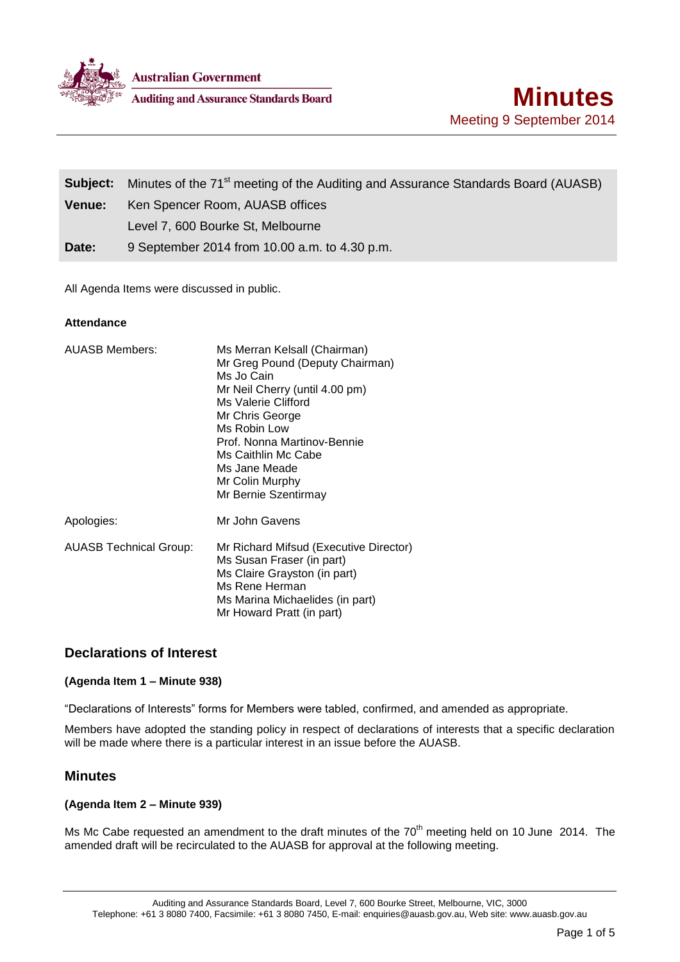

**Auditing and Assurance Standards Board** 

|               | <b>Subject:</b> Minutes of the 71 <sup>st</sup> meeting of the Auditing and Assurance Standards Board (AUASB) |  |
|---------------|---------------------------------------------------------------------------------------------------------------|--|
| <b>Venue:</b> | Ken Spencer Room, AUASB offices                                                                               |  |
|               | Level 7, 600 Bourke St, Melbourne                                                                             |  |
| Date:         | 9 September 2014 from 10.00 a.m. to 4.30 p.m.                                                                 |  |

All Agenda Items were discussed in public.

## **Attendance**

| <b>AUASB Members:</b>         | Ms Merran Kelsall (Chairman)<br>Mr Greg Pound (Deputy Chairman)<br>Ms Jo Cain<br>Mr Neil Cherry (until 4.00 pm)<br>Ms Valerie Clifford<br>Mr Chris George<br>Ms Robin Low<br>Prof. Nonna Martinov-Bennie<br>Ms Caithlin Mc Cabe<br>Ms Jane Meade<br>Mr Colin Murphy<br>Mr Bernie Szentirmay |
|-------------------------------|---------------------------------------------------------------------------------------------------------------------------------------------------------------------------------------------------------------------------------------------------------------------------------------------|
| Apologies:                    | Mr John Gavens                                                                                                                                                                                                                                                                              |
| <b>AUASB Technical Group:</b> | Mr Richard Mifsud (Executive Director)<br>Ms Susan Fraser (in part)<br>Ms Claire Grayston (in part)<br>Ms Rene Herman<br>Ms Marina Michaelides (in part)<br>Mr Howard Pratt (in part)                                                                                                       |

# **Declarations of Interest**

## **(Agenda Item 1 – Minute 938)**

"Declarations of Interests" forms for Members were tabled, confirmed, and amended as appropriate.

Members have adopted the standing policy in respect of declarations of interests that a specific declaration will be made where there is a particular interest in an issue before the AUASB.

# **Minutes**

## **(Agenda Item 2 – Minute 939)**

Ms Mc Cabe requested an amendment to the draft minutes of the 70<sup>th</sup> meeting held on 10 June 2014. The amended draft will be recirculated to the AUASB for approval at the following meeting.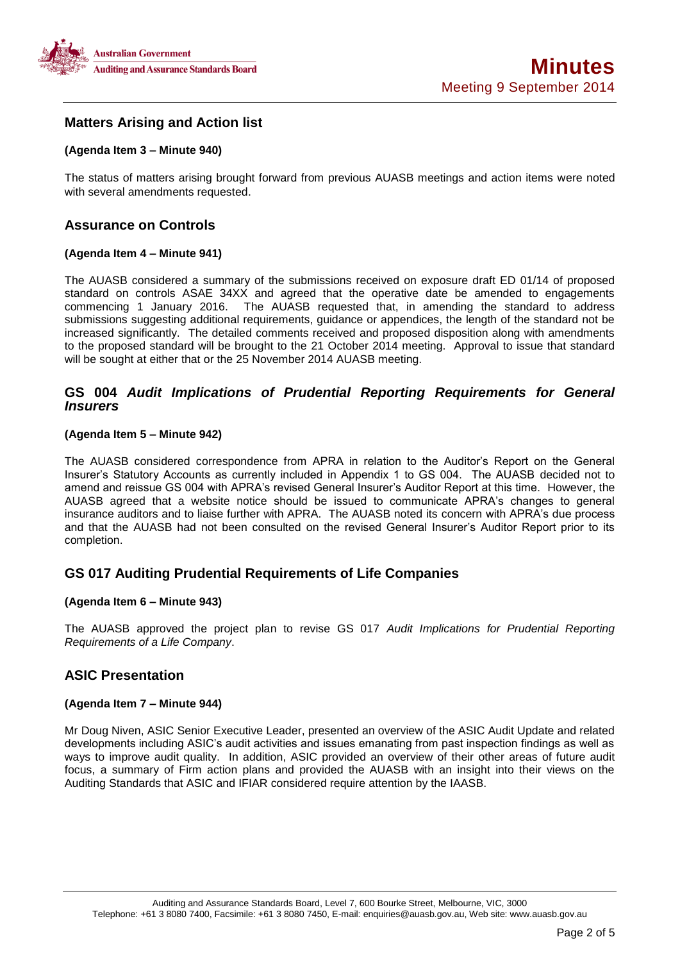

# **Matters Arising and Action list**

## **(Agenda Item 3 – Minute 940)**

The status of matters arising brought forward from previous AUASB meetings and action items were noted with several amendments requested.

# **Assurance on Controls**

### **(Agenda Item 4 – Minute 941)**

The AUASB considered a summary of the submissions received on exposure draft ED 01/14 of proposed standard on controls ASAE 34XX and agreed that the operative date be amended to engagements commencing 1 January 2016. The AUASB requested that, in amending the standard to address submissions suggesting additional requirements, guidance or appendices, the length of the standard not be increased significantly. The detailed comments received and proposed disposition along with amendments to the proposed standard will be brought to the 21 October 2014 meeting. Approval to issue that standard will be sought at either that or the 25 November 2014 AUASB meeting.

## **GS 004** *Audit Implications of Prudential Reporting Requirements for General Insurers*

### **(Agenda Item 5 – Minute 942)**

The AUASB considered correspondence from APRA in relation to the Auditor's Report on the General Insurer's Statutory Accounts as currently included in Appendix 1 to GS 004. The AUASB decided not to amend and reissue GS 004 with APRA's revised General Insurer's Auditor Report at this time. However, the AUASB agreed that a website notice should be issued to communicate APRA's changes to general insurance auditors and to liaise further with APRA. The AUASB noted its concern with APRA's due process and that the AUASB had not been consulted on the revised General Insurer's Auditor Report prior to its completion.

# **GS 017 Auditing Prudential Requirements of Life Companies**

### **(Agenda Item 6 – Minute 943)**

The AUASB approved the project plan to revise GS 017 *Audit Implications for Prudential Reporting Requirements of a Life Company*.

# **ASIC Presentation**

### **(Agenda Item 7 – Minute 944)**

Mr Doug Niven, ASIC Senior Executive Leader, presented an overview of the ASIC Audit Update and related developments including ASIC's audit activities and issues emanating from past inspection findings as well as ways to improve audit quality. In addition, ASIC provided an overview of their other areas of future audit focus, a summary of Firm action plans and provided the AUASB with an insight into their views on the Auditing Standards that ASIC and IFIAR considered require attention by the IAASB.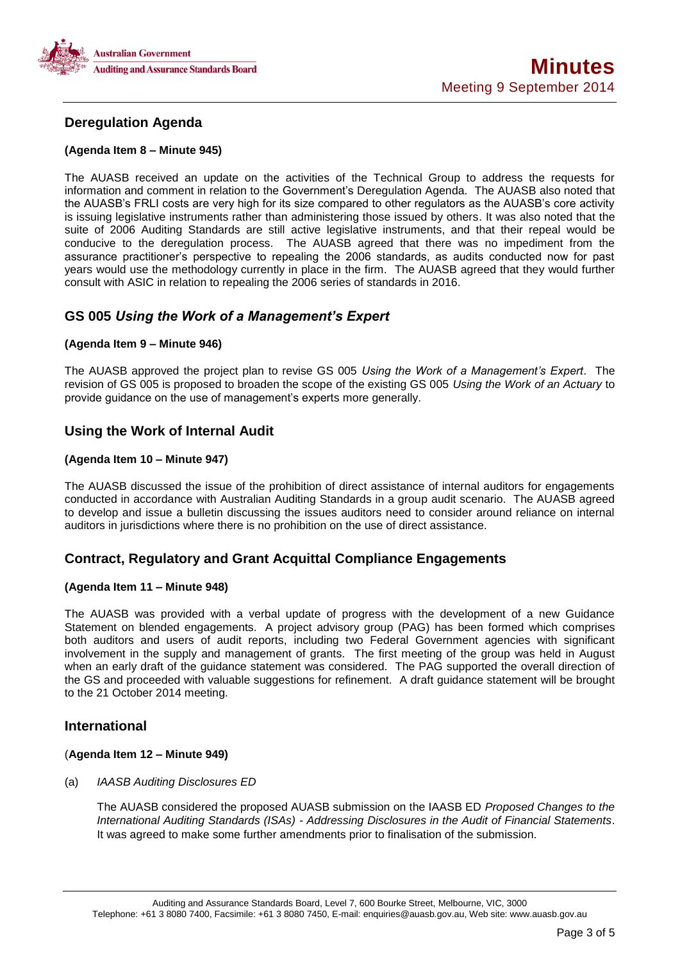

# **Deregulation Agenda**

### **(Agenda Item 8 – Minute 945)**

The AUASB received an update on the activities of the Technical Group to address the requests for information and comment in relation to the Government's Deregulation Agenda. The AUASB also noted that the AUASB's FRLI costs are very high for its size compared to other regulators as the AUASB's core activity is issuing legislative instruments rather than administering those issued by others. It was also noted that the suite of 2006 Auditing Standards are still active legislative instruments, and that their repeal would be conducive to the deregulation process. The AUASB agreed that there was no impediment from the assurance practitioner's perspective to repealing the 2006 standards, as audits conducted now for past years would use the methodology currently in place in the firm. The AUASB agreed that they would further consult with ASIC in relation to repealing the 2006 series of standards in 2016.

# **GS 005** *Using the Work of a Management's Expert*

### **(Agenda Item 9 – Minute 946)**

The AUASB approved the project plan to revise GS 005 *Using the Work of a Management's Expert*. The revision of GS 005 is proposed to broaden the scope of the existing GS 005 *Using the Work of an Actuary* to provide guidance on the use of management's experts more generally.

# **Using the Work of Internal Audit**

## **(Agenda Item 10 – Minute 947)**

The AUASB discussed the issue of the prohibition of direct assistance of internal auditors for engagements conducted in accordance with Australian Auditing Standards in a group audit scenario. The AUASB agreed to develop and issue a bulletin discussing the issues auditors need to consider around reliance on internal auditors in jurisdictions where there is no prohibition on the use of direct assistance.

# **Contract, Regulatory and Grant Acquittal Compliance Engagements**

## **(Agenda Item 11 – Minute 948)**

The AUASB was provided with a verbal update of progress with the development of a new Guidance Statement on blended engagements. A project advisory group (PAG) has been formed which comprises both auditors and users of audit reports, including two Federal Government agencies with significant involvement in the supply and management of grants. The first meeting of the group was held in August when an early draft of the guidance statement was considered. The PAG supported the overall direction of the GS and proceeded with valuable suggestions for refinement. A draft guidance statement will be brought to the 21 October 2014 meeting.

## **International**

## (**Agenda Item 12 – Minute 949)**

(a) *IAASB Auditing Disclosures ED* 

The AUASB considered the proposed AUASB submission on the IAASB ED *Proposed Changes to the International Auditing Standards (ISAs) - Addressing Disclosures in the Audit of Financial Statements*. It was agreed to make some further amendments prior to finalisation of the submission.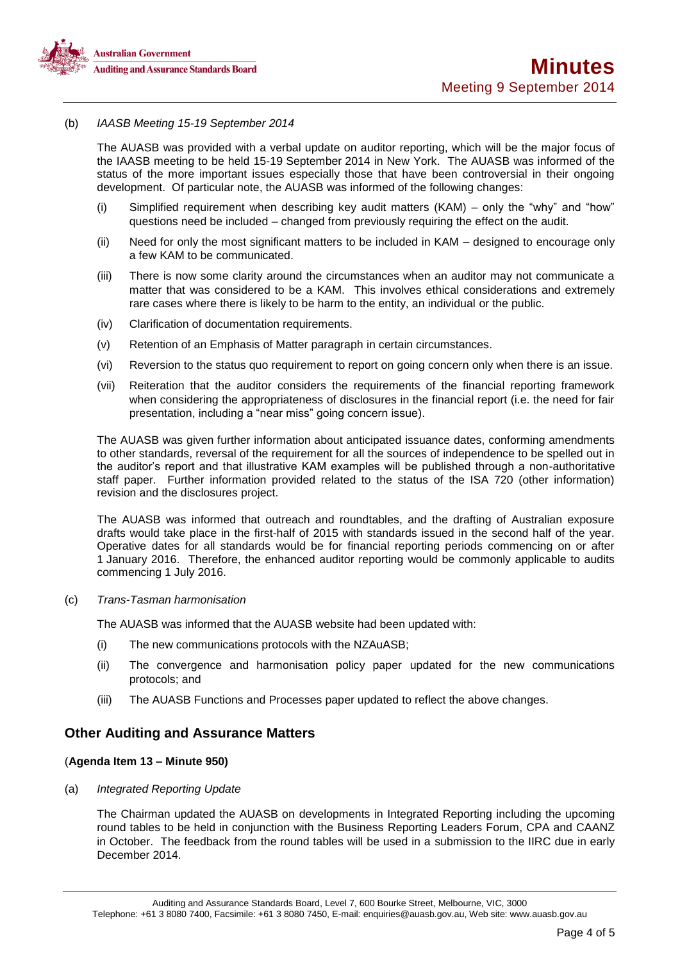

### (b) *IAASB Meeting 15-19 September 2014*

The AUASB was provided with a verbal update on auditor reporting, which will be the major focus of the IAASB meeting to be held 15-19 September 2014 in New York. The AUASB was informed of the status of the more important issues especially those that have been controversial in their ongoing development. Of particular note, the AUASB was informed of the following changes:

- (i) Simplified requirement when describing key audit matters (KAM) only the "why" and "how" questions need be included – changed from previously requiring the effect on the audit.
- (ii) Need for only the most significant matters to be included in KAM designed to encourage only a few KAM to be communicated.
- (iii) There is now some clarity around the circumstances when an auditor may not communicate a matter that was considered to be a KAM. This involves ethical considerations and extremely rare cases where there is likely to be harm to the entity, an individual or the public.
- (iv) Clarification of documentation requirements.
- (v) Retention of an Emphasis of Matter paragraph in certain circumstances.
- (vi) Reversion to the status quo requirement to report on going concern only when there is an issue.
- (vii) Reiteration that the auditor considers the requirements of the financial reporting framework when considering the appropriateness of disclosures in the financial report (i.e. the need for fair presentation, including a "near miss" going concern issue).

The AUASB was given further information about anticipated issuance dates, conforming amendments to other standards, reversal of the requirement for all the sources of independence to be spelled out in the auditor's report and that illustrative KAM examples will be published through a non-authoritative staff paper. Further information provided related to the status of the ISA 720 (other information) revision and the disclosures project.

The AUASB was informed that outreach and roundtables, and the drafting of Australian exposure drafts would take place in the first-half of 2015 with standards issued in the second half of the year. Operative dates for all standards would be for financial reporting periods commencing on or after 1 January 2016. Therefore, the enhanced auditor reporting would be commonly applicable to audits commencing 1 July 2016.

(c) *Trans-Tasman harmonisation* 

The AUASB was informed that the AUASB website had been updated with:

- (i) The new communications protocols with the NZAuASB;
- (ii) The convergence and harmonisation policy paper updated for the new communications protocols; and
- (iii) The AUASB Functions and Processes paper updated to reflect the above changes.

## **Other Auditing and Assurance Matters**

### (**Agenda Item 13 – Minute 950)**

### (a) *Integrated Reporting Update*

The Chairman updated the AUASB on developments in Integrated Reporting including the upcoming round tables to be held in conjunction with the Business Reporting Leaders Forum, CPA and CAANZ in October. The feedback from the round tables will be used in a submission to the IIRC due in early December 2014.